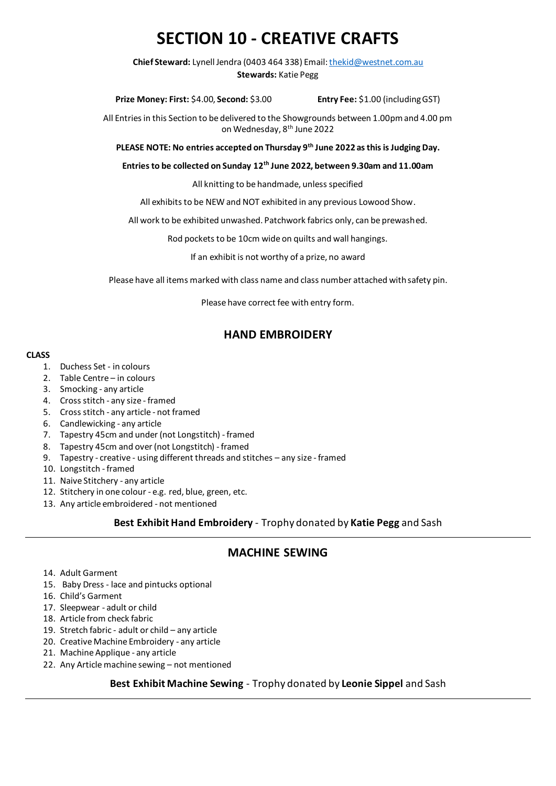# **SECTION 10 - CREATIVE CRAFTS**

**Chief Steward:** Lynell Jendra (0403 464 338) Email[: thekid@westnet.com.au](mailto:thekid@westnet.com.au) **Stewards:** Katie Pegg

**Prize Money: First:** \$4.00, **Second:** \$3.00 **Entry Fee:** \$1.00 (including GST)

All Entries in this Section to be delivered to the Showgrounds between 1.00pm and 4.00 pm on Wednesday, 8<sup>th</sup> June 2022

**PLEASE NOTE: No entries accepted on Thursday 9 th June 2022 as this is Judging Day.**

**Entries to be collected on Sunday 12 th June 2022, between 9.30am and 11.00am**

All knitting to be handmade, unless specified

All exhibits to be NEW and NOT exhibited in any previous Lowood Show.

All work to be exhibited unwashed. Patchwork fabrics only, can be prewashed.

Rod pockets to be 10cm wide on quilts and wall hangings.

If an exhibit is not worthy of a prize, no award

Please have all items marked with class name and class number attached with safety pin.

Please have correct fee with entry form.

## **HAND EMBROIDERY**

#### **CLASS**

- 1. Duchess Set in colours
- 2. Table Centre in colours
- 3. Smocking any article
- 4. Cross stitch any size framed
- 5. Cross stitch any article not framed
- 6. Candlewicking any article
- 7. Tapestry 45cm and under (not Longstitch) framed
- 8. Tapestry 45cm and over (not Longstitch) framed
- 9. Tapestry creative using different threads and stitches any size framed
- 10. Longstitch framed
- 11. Naive Stitchery any article
- 12. Stitchery in one colour e.g. red, blue, green, etc.
- 13. Any article embroidered not mentioned

**Best Exhibit Hand Embroidery** - Trophy donated by **Katie Pegg** and Sash

## **MACHINE SEWING**

- 14. Adult Garment
- 15. Baby Dress lace and pintucks optional
- 16. Child's Garment
- 17. Sleepwear adult or child
- 18. Article from check fabric
- 19. Stretch fabric adult or child any article
- 20. Creative Machine Embroidery any article
- 21. Machine Applique any article
- 22. Any Article machine sewing not mentioned

#### **Best Exhibit Machine Sewing** - Trophy donated by **Leonie Sippel** and Sash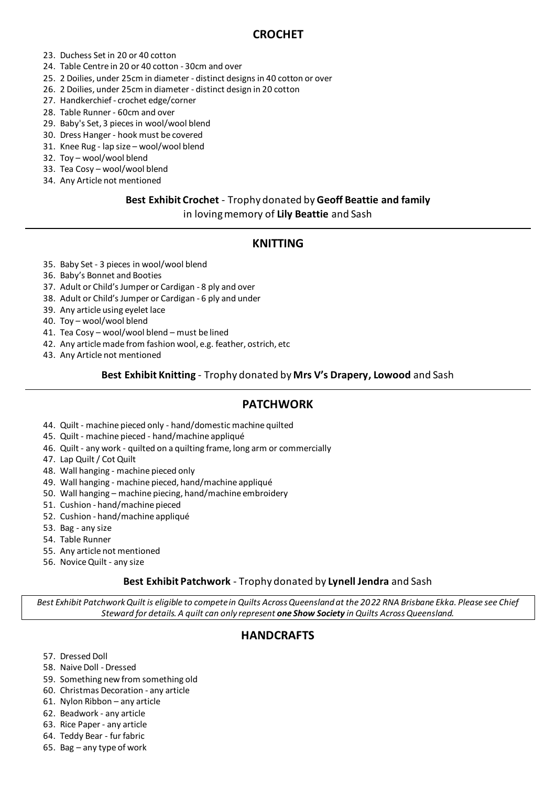## **CROCHET**

- 23. Duchess Set in 20 or 40 cotton
- 24. Table Centre in 20 or 40 cotton 30cm and over
- 25. 2 Doilies, under 25cm in diameter distinct designs in 40 cotton or over
- 26. 2 Doilies, under 25cm in diameter distinct design in 20 cotton
- 27. Handkerchief crochet edge/corner
- 28. Table Runner 60cm and over
- 29. Baby's Set, 3 pieces in wool/wool blend
- 30. Dress Hanger hook must be covered
- 31. Knee Rug lap size wool/wool blend
- 32. Toy wool/wool blend
- 33. Tea Cosy wool/wool blend
- 34. Any Article not mentioned

## **Best Exhibit Crochet** - Trophy donated by **Geoff Beattie and family** in loving memory of **Lily Beattie** and Sash

## **KNITTING**

35. Baby Set - 3 pieces in wool/wool blend

#### 36. Baby's Bonnet and Booties

- 37. Adult or Child's Jumper or Cardigan 8 ply and over
- 38. Adult or Child's Jumper or Cardigan 6 ply and under
- 39. Any article using eyelet lace
- 40. Toy wool/wool blend
- 41. Tea Cosy wool/wool blend must be lined
- 42. Any article made from fashion wool, e.g. feather, ostrich, etc
- 43. Any Article not mentioned

#### **Best Exhibit Knitting** - Trophy donated by **Mrs V's Drapery, Lowood** and Sash

## **PATCHWORK**

- 44. Quilt machine pieced only hand/domestic machine quilted
- 45. Quilt machine pieced hand/machine appliqué
- 46. Quilt any work quilted on a quilting frame, long arm or commercially
- 47. Lap Quilt / Cot Quilt
- 48. Wall hanging machine pieced only
- 49. Wall hanging machine pieced, hand/machine appliqué
- 50. Wall hanging machine piecing, hand/machine embroidery
- 51. Cushion hand/machine pieced
- 52. Cushion hand/machine appliqué
- 53. Bag any size
- 54. Table Runner
- 55. Any article not mentioned
- 56. Novice Quilt any size

#### **Best Exhibit Patchwork** - Trophy donated by **Lynell Jendra** and Sash

*Best Exhibit Patchwork Quilt is eligible to compete in Quilts Across Queensland at the 2022 RNA Brisbane Ekka. Please see Chief Steward for details. A quilt can only represent one Show Society in Quilts Across Queensland.*

# **HANDCRAFTS**

- 57. Dressed Doll
- 58. Naive Doll Dressed
- 59. Something new from something old
- 60. Christmas Decoration any article
- 61. Nylon Ribbon any article
- 62. Beadwork any article
- 63. Rice Paper any article
- 64. Teddy Bear fur fabric
- 65. Bag any type of work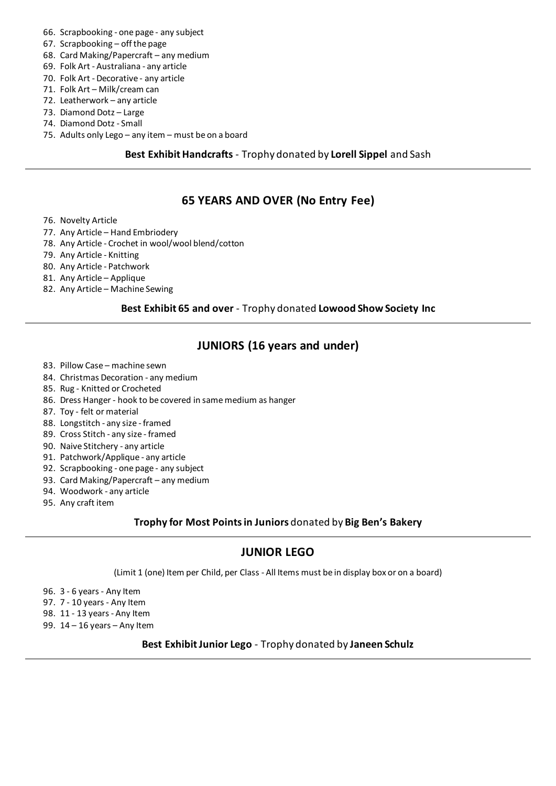- 66. Scrapbooking one page any subject
- 67. Scrapbooking off the page
- 68. Card Making/Papercraft any medium
- 69. Folk Art Australiana any article
- 70. Folk Art Decorative any article
- 71. Folk Art Milk/cream can
- 72. Leatherwork any article
- 73. Diamond Dotz Large
- 74. Diamond Dotz Small
- 75. Adults only Lego any item must be on a board

#### **Best Exhibit Handcrafts** - Trophy donated by **Lorell Sippel** and Sash

# **65 YEARS AND OVER (No Entry Fee)**

- 76. Novelty Article
- 77. Any Article Hand Embriodery
- 78. Any Article Crochet in wool/wool blend/cotton
- 79. Any Article Knitting
- 80. Any Article Patchwork
- 81. Any Article Applique
- 82. Any Article Machine Sewing

#### **Best Exhibit 65 and over** - Trophy donated **Lowood Show Society Inc**

# **JUNIORS (16 years and under)**

- 83. Pillow Case machine sewn
- 84. Christmas Decoration any medium
- 85. Rug Knitted or Crocheted
- 86. Dress Hanger hook to be covered in same medium as hanger
- 87. Toy felt or material
- 88. Longstitch any size framed
- 89. Cross Stitch any size framed
- 90. Naive Stitchery any article
- 91. Patchwork/Applique any article
- 92. Scrapbooking one page any subject
- 93. Card Making/Papercraft any medium
- 94. Woodwork any article
- 95. Any craft item

### **Trophy for Most Points in Juniors** donated by **Big Ben's Bakery**

# **JUNIOR LEGO**

(Limit 1 (one) Item per Child, per Class - All Items must be in display box or on a board)

96. 3 - 6 years - Any Item

- 97. 7 10 years Any Item
- 98. 11 13 years Any Item
- 99. 14 16 years Any Item

#### **Best Exhibit Junior Lego** - Trophy donated by **Janeen Schulz**